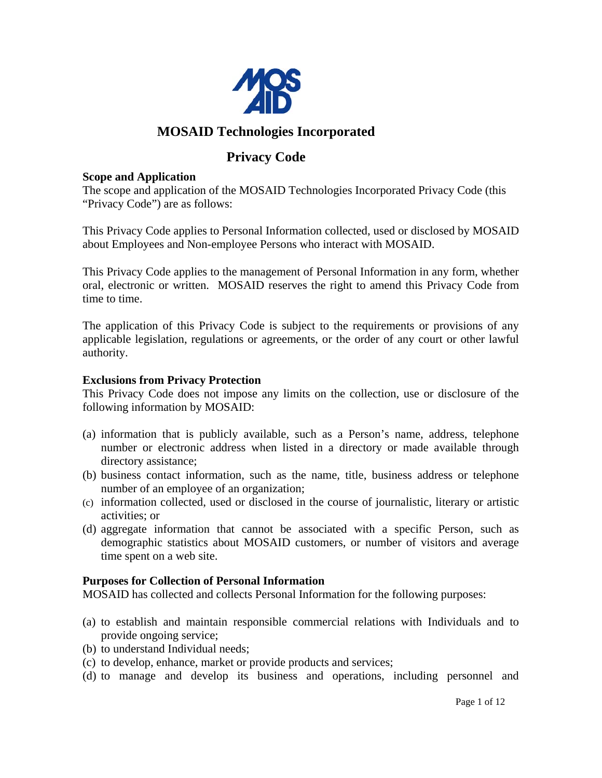

# **MOSAID Technologies Incorporated**

# **Privacy Code**

#### **Scope and Application**

The scope and application of the MOSAID Technologies Incorporated Privacy Code (this "Privacy Code") are as follows:

This Privacy Code applies to Personal Information collected, used or disclosed by MOSAID about Employees and Non-employee Persons who interact with MOSAID.

This Privacy Code applies to the management of Personal Information in any form, whether oral, electronic or written. MOSAID reserves the right to amend this Privacy Code from time to time.

The application of this Privacy Code is subject to the requirements or provisions of any applicable legislation, regulations or agreements, or the order of any court or other lawful authority.

### **Exclusions from Privacy Protection**

This Privacy Code does not impose any limits on the collection, use or disclosure of the following information by MOSAID:

- (a) information that is publicly available, such as a Person's name, address, telephone number or electronic address when listed in a directory or made available through directory assistance;
- (b) business contact information, such as the name, title, business address or telephone number of an employee of an organization;
- (c) information collected, used or disclosed in the course of journalistic, literary or artistic activities; or
- (d) aggregate information that cannot be associated with a specific Person, such as demographic statistics about MOSAID customers, or number of visitors and average time spent on a web site.

### **Purposes for Collection of Personal Information**

MOSAID has collected and collects Personal Information for the following purposes:

- (a) to establish and maintain responsible commercial relations with Individuals and to provide ongoing service;
- (b) to understand Individual needs;
- (c) to develop, enhance, market or provide products and services;
- (d) to manage and develop its business and operations, including personnel and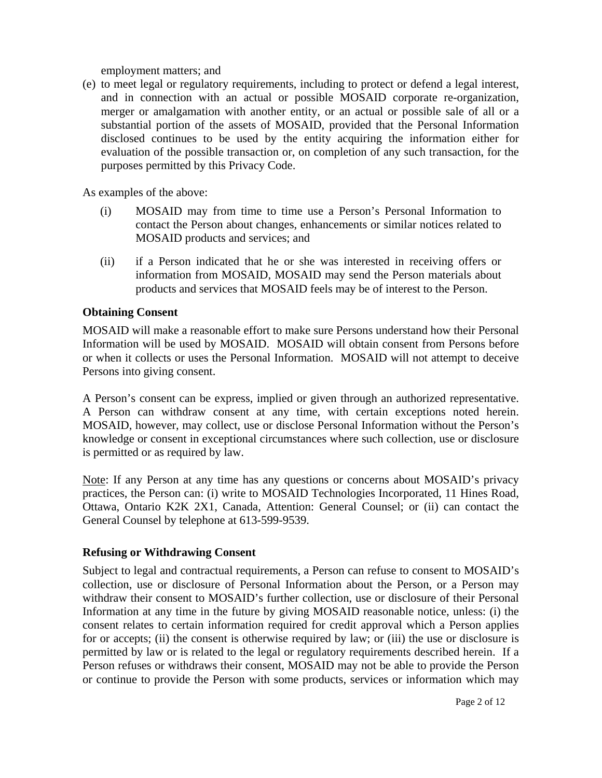employment matters; and

(e) to meet legal or regulatory requirements, including to protect or defend a legal interest, and in connection with an actual or possible MOSAID corporate re-organization, merger or amalgamation with another entity, or an actual or possible sale of all or a substantial portion of the assets of MOSAID, provided that the Personal Information disclosed continues to be used by the entity acquiring the information either for evaluation of the possible transaction or, on completion of any such transaction, for the purposes permitted by this Privacy Code.

As examples of the above:

- (i) MOSAID may from time to time use a Person's Personal Information to contact the Person about changes, enhancements or similar notices related to MOSAID products and services; and
- (ii) if a Person indicated that he or she was interested in receiving offers or information from MOSAID, MOSAID may send the Person materials about products and services that MOSAID feels may be of interest to the Person.

## **Obtaining Consent**

MOSAID will make a reasonable effort to make sure Persons understand how their Personal Information will be used by MOSAID. MOSAID will obtain consent from Persons before or when it collects or uses the Personal Information. MOSAID will not attempt to deceive Persons into giving consent.

A Person's consent can be express, implied or given through an authorized representative. A Person can withdraw consent at any time, with certain exceptions noted herein. MOSAID, however, may collect, use or disclose Personal Information without the Person's knowledge or consent in exceptional circumstances where such collection, use or disclosure is permitted or as required by law.

Note: If any Person at any time has any questions or concerns about MOSAID's privacy practices, the Person can: (i) write to MOSAID Technologies Incorporated, 11 Hines Road, Ottawa, Ontario K2K 2X1, Canada, Attention: General Counsel; or (ii) can contact the General Counsel by telephone at 613-599-9539.

### **Refusing or Withdrawing Consent**

Subject to legal and contractual requirements, a Person can refuse to consent to MOSAID's collection, use or disclosure of Personal Information about the Person, or a Person may withdraw their consent to MOSAID's further collection, use or disclosure of their Personal Information at any time in the future by giving MOSAID reasonable notice, unless: (i) the consent relates to certain information required for credit approval which a Person applies for or accepts; (ii) the consent is otherwise required by law; or (iii) the use or disclosure is permitted by law or is related to the legal or regulatory requirements described herein. If a Person refuses or withdraws their consent, MOSAID may not be able to provide the Person or continue to provide the Person with some products, services or information which may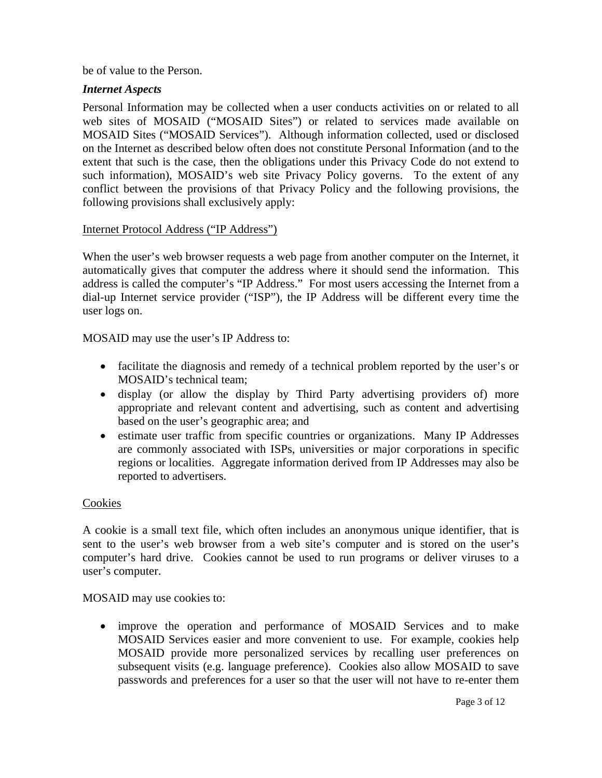be of value to the Person.

### *Internet Aspects*

Personal Information may be collected when a user conducts activities on or related to all web sites of MOSAID ("MOSAID Sites") or related to services made available on MOSAID Sites ("MOSAID Services"). Although information collected, used or disclosed on the Internet as described below often does not constitute Personal Information (and to the extent that such is the case, then the obligations under this Privacy Code do not extend to such information), MOSAID's web site Privacy Policy governs. To the extent of any conflict between the provisions of that Privacy Policy and the following provisions, the following provisions shall exclusively apply:

### Internet Protocol Address ("IP Address")

When the user's web browser requests a web page from another computer on the Internet, it automatically gives that computer the address where it should send the information. This address is called the computer's "IP Address." For most users accessing the Internet from a dial-up Internet service provider ("ISP"), the IP Address will be different every time the user logs on.

MOSAID may use the user's IP Address to:

- facilitate the diagnosis and remedy of a technical problem reported by the user's or MOSAID's technical team;
- display (or allow the display by Third Party advertising providers of) more appropriate and relevant content and advertising, such as content and advertising based on the user's geographic area; and
- estimate user traffic from specific countries or organizations. Many IP Addresses are commonly associated with ISPs, universities or major corporations in specific regions or localities. Aggregate information derived from IP Addresses may also be reported to advertisers.

### Cookies

A cookie is a small text file, which often includes an anonymous unique identifier, that is sent to the user's web browser from a web site's computer and is stored on the user's computer's hard drive. Cookies cannot be used to run programs or deliver viruses to a user's computer.

MOSAID may use cookies to:

• improve the operation and performance of MOSAID Services and to make MOSAID Services easier and more convenient to use. For example, cookies help MOSAID provide more personalized services by recalling user preferences on subsequent visits (e.g. language preference). Cookies also allow MOSAID to save passwords and preferences for a user so that the user will not have to re-enter them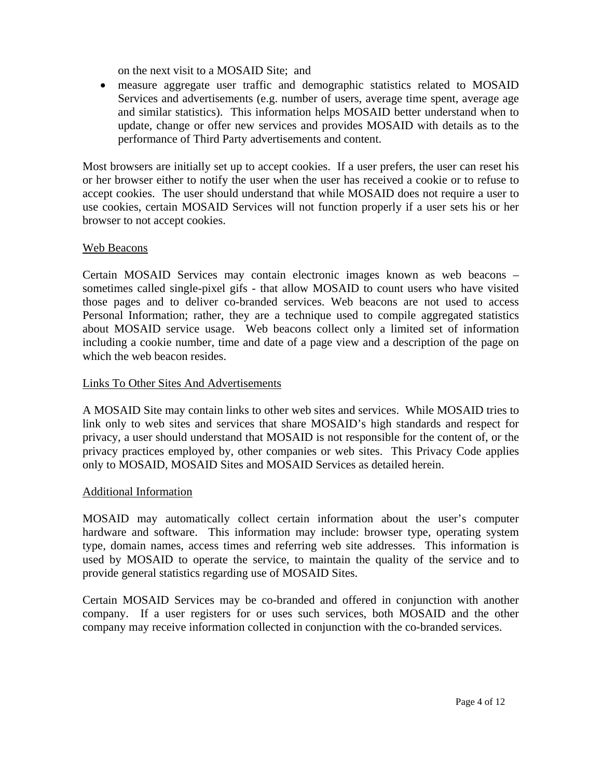on the next visit to a MOSAID Site; and

• measure aggregate user traffic and demographic statistics related to MOSAID Services and advertisements (e.g. number of users, average time spent, average age and similar statistics). This information helps MOSAID better understand when to update, change or offer new services and provides MOSAID with details as to the performance of Third Party advertisements and content.

Most browsers are initially set up to accept cookies. If a user prefers, the user can reset his or her browser either to notify the user when the user has received a cookie or to refuse to accept cookies. The user should understand that while MOSAID does not require a user to use cookies, certain MOSAID Services will not function properly if a user sets his or her browser to not accept cookies.

## Web Beacons

Certain MOSAID Services may contain electronic images known as web beacons – sometimes called single-pixel gifs - that allow MOSAID to count users who have visited those pages and to deliver co-branded services. Web beacons are not used to access Personal Information; rather, they are a technique used to compile aggregated statistics about MOSAID service usage. Web beacons collect only a limited set of information including a cookie number, time and date of a page view and a description of the page on which the web beacon resides.

## Links To Other Sites And Advertisements

A MOSAID Site may contain links to other web sites and services. While MOSAID tries to link only to web sites and services that share MOSAID's high standards and respect for privacy, a user should understand that MOSAID is not responsible for the content of, or the privacy practices employed by, other companies or web sites. This Privacy Code applies only to MOSAID, MOSAID Sites and MOSAID Services as detailed herein.

### Additional Information

MOSAID may automatically collect certain information about the user's computer hardware and software. This information may include: browser type, operating system type, domain names, access times and referring web site addresses. This information is used by MOSAID to operate the service, to maintain the quality of the service and to provide general statistics regarding use of MOSAID Sites.

Certain MOSAID Services may be co-branded and offered in conjunction with another company. If a user registers for or uses such services, both MOSAID and the other company may receive information collected in conjunction with the co-branded services.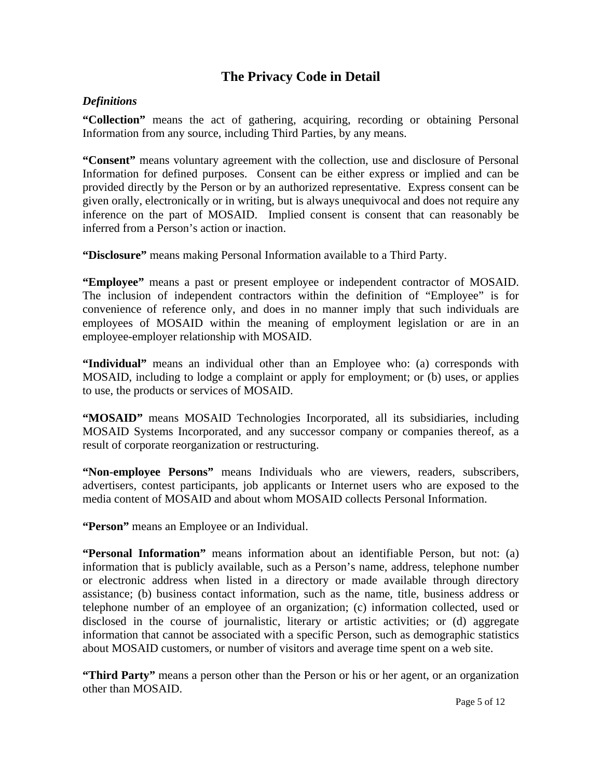# **The Privacy Code in Detail**

## *Definitions*

**"Collection"** means the act of gathering, acquiring, recording or obtaining Personal Information from any source, including Third Parties, by any means.

**"Consent"** means voluntary agreement with the collection, use and disclosure of Personal Information for defined purposes. Consent can be either express or implied and can be provided directly by the Person or by an authorized representative. Express consent can be given orally, electronically or in writing, but is always unequivocal and does not require any inference on the part of MOSAID. Implied consent is consent that can reasonably be inferred from a Person's action or inaction.

**"Disclosure"** means making Personal Information available to a Third Party.

**"Employee"** means a past or present employee or independent contractor of MOSAID. The inclusion of independent contractors within the definition of "Employee" is for convenience of reference only, and does in no manner imply that such individuals are employees of MOSAID within the meaning of employment legislation or are in an employee-employer relationship with MOSAID.

**"Individual"** means an individual other than an Employee who: (a) corresponds with MOSAID, including to lodge a complaint or apply for employment; or (b) uses, or applies to use, the products or services of MOSAID.

**"MOSAID"** means MOSAID Technologies Incorporated, all its subsidiaries, including MOSAID Systems Incorporated, and any successor company or companies thereof, as a result of corporate reorganization or restructuring.

**"Non-employee Persons"** means Individuals who are viewers, readers, subscribers, advertisers, contest participants, job applicants or Internet users who are exposed to the media content of MOSAID and about whom MOSAID collects Personal Information.

**"Person"** means an Employee or an Individual.

**"Personal Information"** means information about an identifiable Person, but not: (a) information that is publicly available, such as a Person's name, address, telephone number or electronic address when listed in a directory or made available through directory assistance; (b) business contact information, such as the name, title, business address or telephone number of an employee of an organization; (c) information collected, used or disclosed in the course of journalistic, literary or artistic activities; or (d) aggregate information that cannot be associated with a specific Person, such as demographic statistics about MOSAID customers, or number of visitors and average time spent on a web site.

**"Third Party"** means a person other than the Person or his or her agent, or an organization other than MOSAID.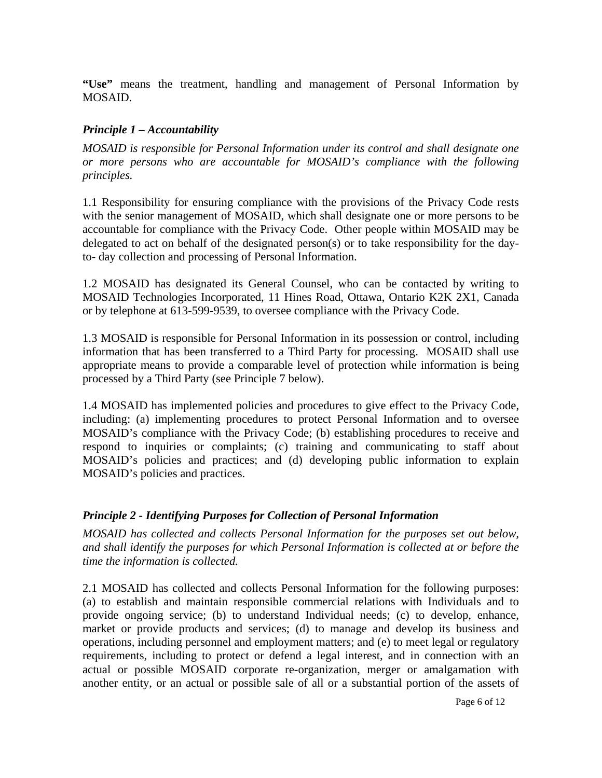**"Use"** means the treatment, handling and management of Personal Information by MOSAID.

## *Principle 1 – Accountability*

*MOSAID is responsible for Personal Information under its control and shall designate one or more persons who are accountable for MOSAID's compliance with the following principles.*

1.1 Responsibility for ensuring compliance with the provisions of the Privacy Code rests with the senior management of MOSAID, which shall designate one or more persons to be accountable for compliance with the Privacy Code. Other people within MOSAID may be delegated to act on behalf of the designated person(s) or to take responsibility for the dayto- day collection and processing of Personal Information.

1.2 MOSAID has designated its General Counsel, who can be contacted by writing to MOSAID Technologies Incorporated, 11 Hines Road, Ottawa, Ontario K2K 2X1, Canada or by telephone at 613-599-9539, to oversee compliance with the Privacy Code.

1.3 MOSAID is responsible for Personal Information in its possession or control, including information that has been transferred to a Third Party for processing. MOSAID shall use appropriate means to provide a comparable level of protection while information is being processed by a Third Party (see Principle 7 below).

1.4 MOSAID has implemented policies and procedures to give effect to the Privacy Code, including: (a) implementing procedures to protect Personal Information and to oversee MOSAID's compliance with the Privacy Code; (b) establishing procedures to receive and respond to inquiries or complaints; (c) training and communicating to staff about MOSAID's policies and practices; and (d) developing public information to explain MOSAID's policies and practices.

## *Principle 2 - Identifying Purposes for Collection of Personal Information*

*MOSAID has collected and collects Personal Information for the purposes set out below, and shall identify the purposes for which Personal Information is collected at or before the time the information is collected.*

2.1 MOSAID has collected and collects Personal Information for the following purposes: (a) to establish and maintain responsible commercial relations with Individuals and to provide ongoing service; (b) to understand Individual needs; (c) to develop, enhance, market or provide products and services; (d) to manage and develop its business and operations, including personnel and employment matters; and (e) to meet legal or regulatory requirements, including to protect or defend a legal interest, and in connection with an actual or possible MOSAID corporate re-organization, merger or amalgamation with another entity, or an actual or possible sale of all or a substantial portion of the assets of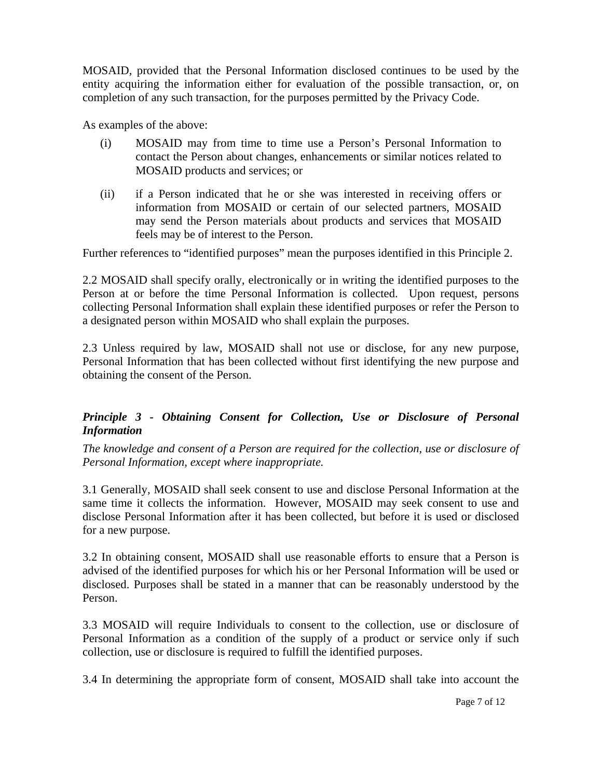MOSAID, provided that the Personal Information disclosed continues to be used by the entity acquiring the information either for evaluation of the possible transaction, or, on completion of any such transaction, for the purposes permitted by the Privacy Code.

As examples of the above:

- (i) MOSAID may from time to time use a Person's Personal Information to contact the Person about changes, enhancements or similar notices related to MOSAID products and services; or
- (ii) if a Person indicated that he or she was interested in receiving offers or information from MOSAID or certain of our selected partners, MOSAID may send the Person materials about products and services that MOSAID feels may be of interest to the Person.

Further references to "identified purposes" mean the purposes identified in this Principle 2.

2.2 MOSAID shall specify orally, electronically or in writing the identified purposes to the Person at or before the time Personal Information is collected. Upon request, persons collecting Personal Information shall explain these identified purposes or refer the Person to a designated person within MOSAID who shall explain the purposes.

2.3 Unless required by law, MOSAID shall not use or disclose, for any new purpose, Personal Information that has been collected without first identifying the new purpose and obtaining the consent of the Person.

# *Principle 3 - Obtaining Consent for Collection, Use or Disclosure of Personal Information*

*The knowledge and consent of a Person are required for the collection, use or disclosure of Personal Information, except where inappropriate.*

3.1 Generally, MOSAID shall seek consent to use and disclose Personal Information at the same time it collects the information. However, MOSAID may seek consent to use and disclose Personal Information after it has been collected, but before it is used or disclosed for a new purpose.

3.2 In obtaining consent, MOSAID shall use reasonable efforts to ensure that a Person is advised of the identified purposes for which his or her Personal Information will be used or disclosed. Purposes shall be stated in a manner that can be reasonably understood by the Person.

3.3 MOSAID will require Individuals to consent to the collection, use or disclosure of Personal Information as a condition of the supply of a product or service only if such collection, use or disclosure is required to fulfill the identified purposes.

3.4 In determining the appropriate form of consent, MOSAID shall take into account the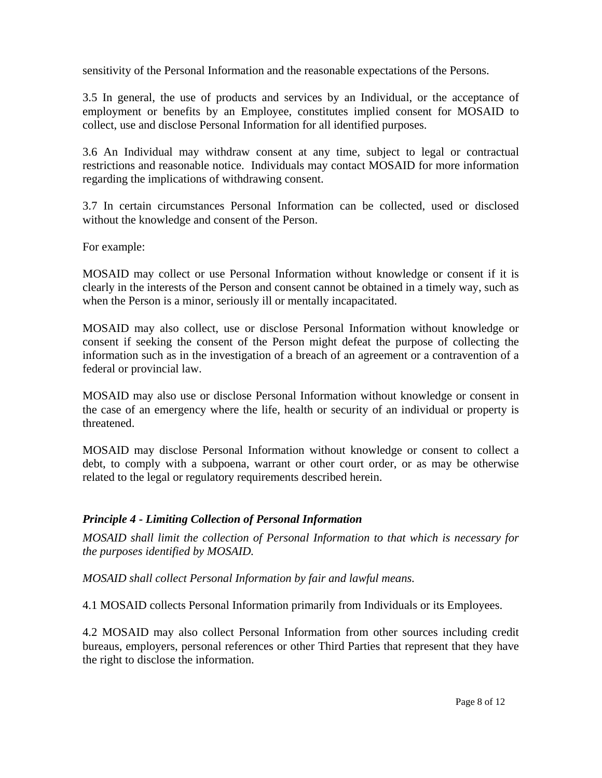sensitivity of the Personal Information and the reasonable expectations of the Persons.

3.5 In general, the use of products and services by an Individual, or the acceptance of employment or benefits by an Employee, constitutes implied consent for MOSAID to collect, use and disclose Personal Information for all identified purposes.

3.6 An Individual may withdraw consent at any time, subject to legal or contractual restrictions and reasonable notice. Individuals may contact MOSAID for more information regarding the implications of withdrawing consent.

3.7 In certain circumstances Personal Information can be collected, used or disclosed without the knowledge and consent of the Person.

For example:

MOSAID may collect or use Personal Information without knowledge or consent if it is clearly in the interests of the Person and consent cannot be obtained in a timely way, such as when the Person is a minor, seriously ill or mentally incapacitated.

MOSAID may also collect, use or disclose Personal Information without knowledge or consent if seeking the consent of the Person might defeat the purpose of collecting the information such as in the investigation of a breach of an agreement or a contravention of a federal or provincial law.

MOSAID may also use or disclose Personal Information without knowledge or consent in the case of an emergency where the life, health or security of an individual or property is threatened.

MOSAID may disclose Personal Information without knowledge or consent to collect a debt, to comply with a subpoena, warrant or other court order, or as may be otherwise related to the legal or regulatory requirements described herein.

# *Principle 4 - Limiting Collection of Personal Information*

*MOSAID shall limit the collection of Personal Information to that which is necessary for the purposes identified by MOSAID.*

*MOSAID shall collect Personal Information by fair and lawful means.*

4.1 MOSAID collects Personal Information primarily from Individuals or its Employees.

4.2 MOSAID may also collect Personal Information from other sources including credit bureaus, employers, personal references or other Third Parties that represent that they have the right to disclose the information.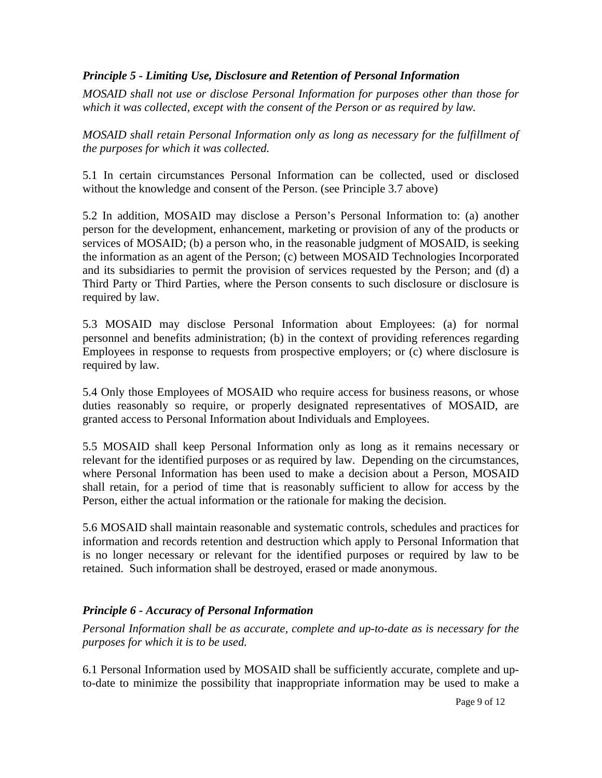## *Principle 5 - Limiting Use, Disclosure and Retention of Personal Information*

*MOSAID shall not use or disclose Personal Information for purposes other than those for which it was collected, except with the consent of the Person or as required by law.* 

*MOSAID shall retain Personal Information only as long as necessary for the fulfillment of the purposes for which it was collected.*

5.1 In certain circumstances Personal Information can be collected, used or disclosed without the knowledge and consent of the Person. (see Principle 3.7 above)

5.2 In addition, MOSAID may disclose a Person's Personal Information to: (a) another person for the development, enhancement, marketing or provision of any of the products or services of MOSAID; (b) a person who, in the reasonable judgment of MOSAID, is seeking the information as an agent of the Person; (c) between MOSAID Technologies Incorporated and its subsidiaries to permit the provision of services requested by the Person; and (d) a Third Party or Third Parties, where the Person consents to such disclosure or disclosure is required by law.

5.3 MOSAID may disclose Personal Information about Employees: (a) for normal personnel and benefits administration; (b) in the context of providing references regarding Employees in response to requests from prospective employers; or (c) where disclosure is required by law.

5.4 Only those Employees of MOSAID who require access for business reasons, or whose duties reasonably so require, or properly designated representatives of MOSAID, are granted access to Personal Information about Individuals and Employees.

5.5 MOSAID shall keep Personal Information only as long as it remains necessary or relevant for the identified purposes or as required by law. Depending on the circumstances, where Personal Information has been used to make a decision about a Person, MOSAID shall retain, for a period of time that is reasonably sufficient to allow for access by the Person, either the actual information or the rationale for making the decision.

5.6 MOSAID shall maintain reasonable and systematic controls, schedules and practices for information and records retention and destruction which apply to Personal Information that is no longer necessary or relevant for the identified purposes or required by law to be retained. Such information shall be destroyed, erased or made anonymous.

## *Principle 6 - Accuracy of Personal Information*

*Personal Information shall be as accurate, complete and up-to-date as is necessary for the purposes for which it is to be used.*

6.1 Personal Information used by MOSAID shall be sufficiently accurate, complete and upto-date to minimize the possibility that inappropriate information may be used to make a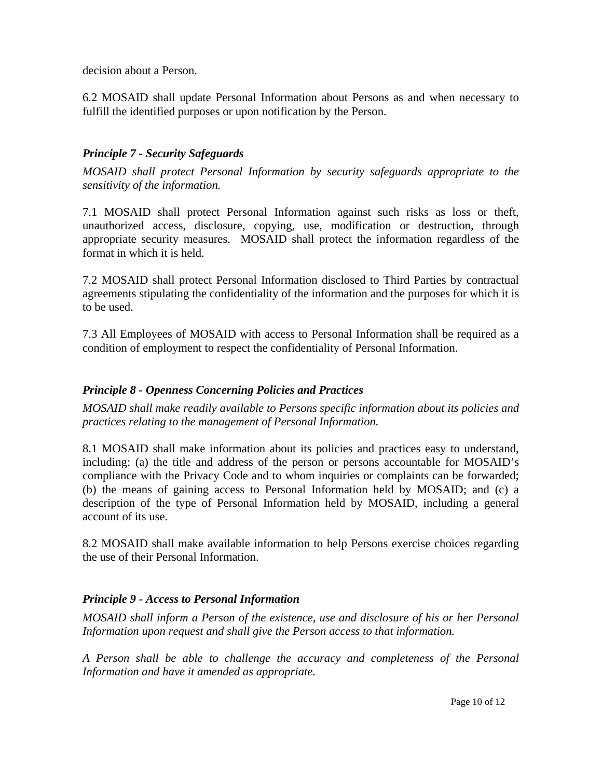decision about a Person.

6.2 MOSAID shall update Personal Information about Persons as and when necessary to fulfill the identified purposes or upon notification by the Person.

# *Principle 7 - Security Safeguards*

*MOSAID shall protect Personal Information by security safeguards appropriate to the sensitivity of the information.*

7.1 MOSAID shall protect Personal Information against such risks as loss or theft, unauthorized access, disclosure, copying, use, modification or destruction, through appropriate security measures. MOSAID shall protect the information regardless of the format in which it is held.

7.2 MOSAID shall protect Personal Information disclosed to Third Parties by contractual agreements stipulating the confidentiality of the information and the purposes for which it is to be used.

7.3 All Employees of MOSAID with access to Personal Information shall be required as a condition of employment to respect the confidentiality of Personal Information.

## *Principle 8 - Openness Concerning Policies and Practices*

*MOSAID shall make readily available to Persons specific information about its policies and practices relating to the management of Personal Information.*

8.1 MOSAID shall make information about its policies and practices easy to understand, including: (a) the title and address of the person or persons accountable for MOSAID's compliance with the Privacy Code and to whom inquiries or complaints can be forwarded; (b) the means of gaining access to Personal Information held by MOSAID; and (c) a description of the type of Personal Information held by MOSAID, including a general account of its use.

8.2 MOSAID shall make available information to help Persons exercise choices regarding the use of their Personal Information.

## *Principle 9 - Access to Personal Information*

*MOSAID shall inform a Person of the existence, use and disclosure of his or her Personal Information upon request and shall give the Person access to that information.* 

*A Person shall be able to challenge the accuracy and completeness of the Personal Information and have it amended as appropriate.*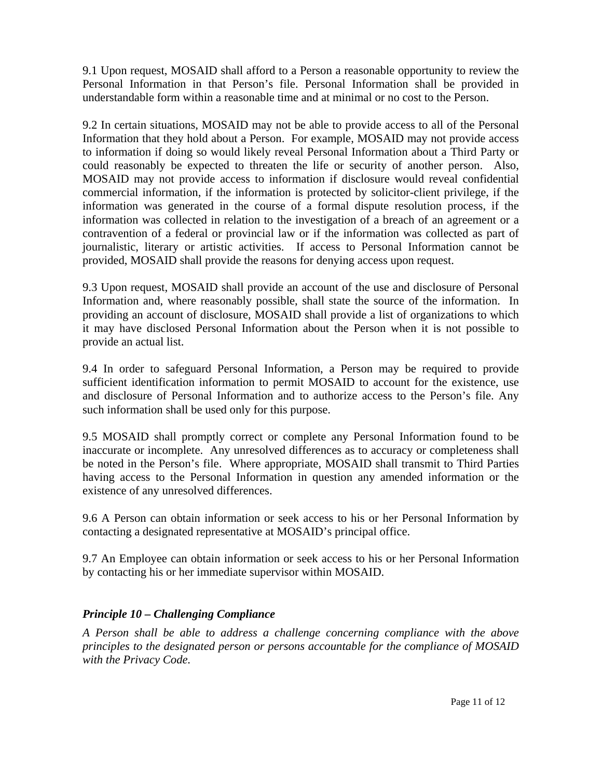9.1 Upon request, MOSAID shall afford to a Person a reasonable opportunity to review the Personal Information in that Person's file. Personal Information shall be provided in understandable form within a reasonable time and at minimal or no cost to the Person.

9.2 In certain situations, MOSAID may not be able to provide access to all of the Personal Information that they hold about a Person. For example, MOSAID may not provide access to information if doing so would likely reveal Personal Information about a Third Party or could reasonably be expected to threaten the life or security of another person. Also, MOSAID may not provide access to information if disclosure would reveal confidential commercial information, if the information is protected by solicitor-client privilege, if the information was generated in the course of a formal dispute resolution process, if the information was collected in relation to the investigation of a breach of an agreement or a contravention of a federal or provincial law or if the information was collected as part of journalistic, literary or artistic activities. If access to Personal Information cannot be provided, MOSAID shall provide the reasons for denying access upon request.

9.3 Upon request, MOSAID shall provide an account of the use and disclosure of Personal Information and, where reasonably possible, shall state the source of the information. In providing an account of disclosure, MOSAID shall provide a list of organizations to which it may have disclosed Personal Information about the Person when it is not possible to provide an actual list.

9.4 In order to safeguard Personal Information, a Person may be required to provide sufficient identification information to permit MOSAID to account for the existence, use and disclosure of Personal Information and to authorize access to the Person's file. Any such information shall be used only for this purpose.

9.5 MOSAID shall promptly correct or complete any Personal Information found to be inaccurate or incomplete. Any unresolved differences as to accuracy or completeness shall be noted in the Person's file. Where appropriate, MOSAID shall transmit to Third Parties having access to the Personal Information in question any amended information or the existence of any unresolved differences.

9.6 A Person can obtain information or seek access to his or her Personal Information by contacting a designated representative at MOSAID's principal office.

9.7 An Employee can obtain information or seek access to his or her Personal Information by contacting his or her immediate supervisor within MOSAID.

# *Principle 10 – Challenging Compliance*

*A Person shall be able to address a challenge concerning compliance with the above principles to the designated person or persons accountable for the compliance of MOSAID with the Privacy Code.*